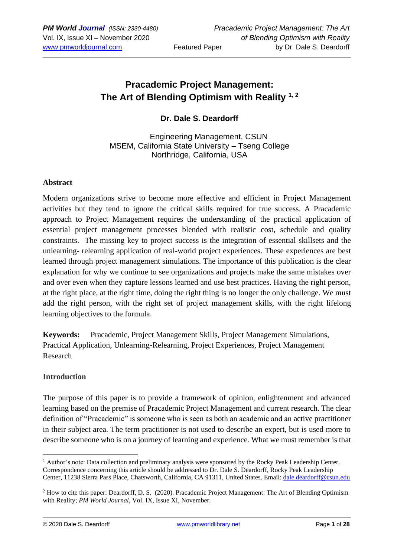# **Pracademic Project Management: The Art of Blending Optimism with Reality 1, 2**

**Dr. Dale S. Deardorff**

Engineering Management, CSUN MSEM, California State University – Tseng College Northridge, California, USA

#### **Abstract**

Modern organizations strive to become more effective and efficient in Project Management activities but they tend to ignore the critical skills required for true success. A Pracademic approach to Project Management requires the understanding of the practical application of essential project management processes blended with realistic cost, schedule and quality constraints. The missing key to project success is the integration of essential skillsets and the unlearning- relearning application of real-world project experiences. These experiences are best learned through project management simulations. The importance of this publication is the clear explanation for why we continue to see organizations and projects make the same mistakes over and over even when they capture lessons learned and use best practices. Having the right person, at the right place, at the right time, doing the right thing is no longer the only challenge. We must add the right person, with the right set of project management skills, with the right lifelong learning objectives to the formula.

**Keywords:** Pracademic, Project Management Skills, Project Management Simulations, Practical Application, Unlearning-Relearning, Project Experiences, Project Management Research

#### **Introduction**

The purpose of this paper is to provide a framework of opinion, enlightenment and advanced learning based on the premise of Pracademic Project Management and current research. The clear definition of "Pracademic" is someone who is seen as both an academic and an active practitioner in their subject area. The term practitioner is not used to describe an expert, but is used more to describe someone who is on a journey of learning and experience. What we must remember is that

<sup>&</sup>lt;sup>1</sup> Author's note: Data collection and preliminary analysis were sponsored by the Rocky Peak Leadership Center. Correspondence concerning this article should be addressed to Dr. Dale S. Deardorff, Rocky Peak Leadership Center, 11238 Sierra Pass Place, Chatsworth, California, CA 91311, United States. Email: [dale.deardorff@csun.edu](mailto:dale.deardorff@csun.edu)

<sup>&</sup>lt;sup>2</sup> How to cite this paper: Deardorff, D. S. (2020). Pracademic Project Management: The Art of Blending Optimism with Reality; *PM World Journal*, Vol. IX, Issue XI, November.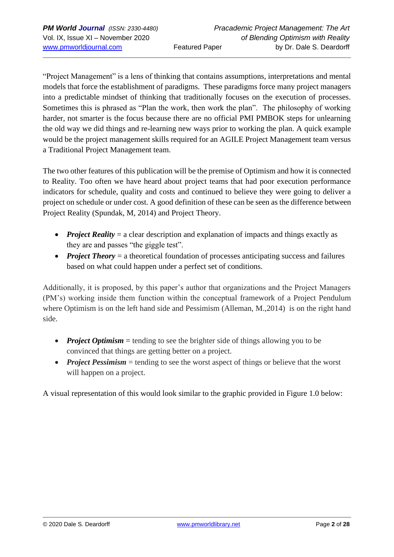"Project Management" is a lens of thinking that contains assumptions, interpretations and mental models that force the establishment of paradigms. These paradigms force many project managers into a predictable mindset of thinking that traditionally focuses on the execution of processes. Sometimes this is phrased as "Plan the work, then work the plan". The philosophy of working harder, not smarter is the focus because there are no official PMI PMBOK steps for unlearning the old way we did things and re-learning new ways prior to working the plan. A quick example would be the project management skills required for an AGILE Project Management team versus a Traditional Project Management team.

The two other features of this publication will be the premise of Optimism and how it is connected to Reality. Too often we have heard about project teams that had poor execution performance indicators for schedule, quality and costs and continued to believe they were going to deliver a project on schedule or under cost. A good definition of these can be seen as the difference between Project Reality (Spundak, M, 2014) and Project Theory.

- *Project Reality* = a clear description and explanation of impacts and things exactly as they are and passes "the giggle test".
- *Project Theory* = a theoretical foundation of processes anticipating success and failures based on what could happen under a perfect set of conditions.

Additionally, it is proposed, by this paper's author that organizations and the Project Managers (PM's) working inside them function within the conceptual framework of a Project Pendulum where Optimism is on the left hand side and Pessimism (Alleman, M., 2014) is on the right hand side.

- *Project Optimism* = tending to see the brighter side of things allowing you to be convinced that things are getting better on a project.
- *Project Pessimism* = tending to see the worst aspect of things or believe that the worst will happen on a project.

A visual representation of this would look similar to the graphic provided in Figure 1.0 below: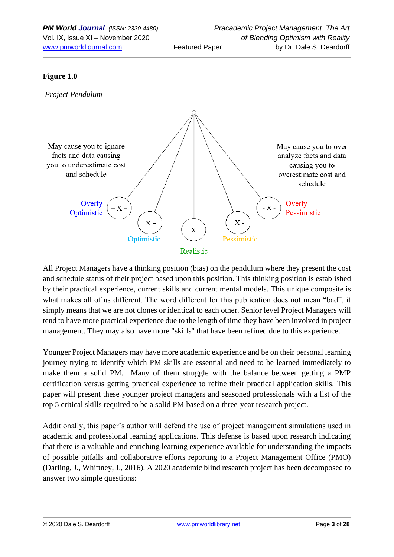#### **Figure 1.0**



All Project Managers have a thinking position (bias) on the pendulum where they present the cost and schedule status of their project based upon this position. This thinking position is established by their practical experience, current skills and current mental models. This unique composite is what makes all of us different. The word different for this publication does not mean "bad", it simply means that we are not clones or identical to each other. Senior level Project Managers will tend to have more practical experience due to the length of time they have been involved in project management. They may also have more "skills" that have been refined due to this experience.

Younger Project Managers may have more academic experience and be on their personal learning journey trying to identify which PM skills are essential and need to be learned immediately to make them a solid PM. Many of them struggle with the balance between getting a PMP certification versus getting practical experience to refine their practical application skills. This paper will present these younger project managers and seasoned professionals with a list of the top 5 critical skills required to be a solid PM based on a three-year research project.

Additionally, this paper's author will defend the use of project management simulations used in academic and professional learning applications. This defense is based upon research indicating that there is a valuable and enriching learning experience available for understanding the impacts of possible pitfalls and collaborative efforts reporting to a Project Management Office (PMO) (Darling, J., Whittney, J., 2016). A 2020 academic blind research project has been decomposed to answer two simple questions: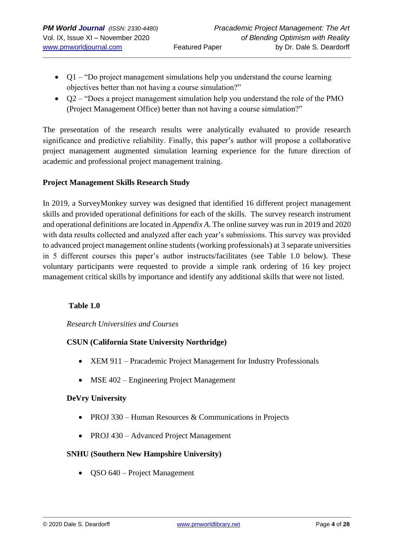- $Q1 HQ$  of project management simulations help you understand the course learning objectives better than not having a course simulation?"
- Q2 "Does a project management simulation help you understand the role of the PMO (Project Management Office) better than not having a course simulation?"

The presentation of the research results were analytically evaluated to provide research significance and predictive reliability. Finally, this paper's author will propose a collaborative project management augmented simulation learning experience for the future direction of academic and professional project management training.

## **Project Management Skills Research Study**

In 2019, a SurveyMonkey survey was designed that identified 16 different project management skills and provided operational definitions for each of the skills. The survey research instrument and operational definitions are located in *Appendix A*. The online survey was run in 2019 and 2020 with data results collected and analyzed after each year's submissions. This survey was provided to advanced project management online students (working professionals) at 3 separate universities in 5 different courses this paper's author instructs/facilitates (see Table 1.0 below). These voluntary participants were requested to provide a simple rank ordering of 16 key project management critical skills by importance and identify any additional skills that were not listed.

#### **Table 1.0**

#### *Research Universities and Courses*

## **CSUN (California State University Northridge)**

- XEM 911 Pracademic Project Management for Industry Professionals
- MSE 402 Engineering Project Management

## **DeVry University**

- PROJ 330 Human Resources  $&$  Communications in Projects
- PROJ 430 Advanced Project Management

## **SNHU (Southern New Hampshire University)**

• QSO 640 – Project Management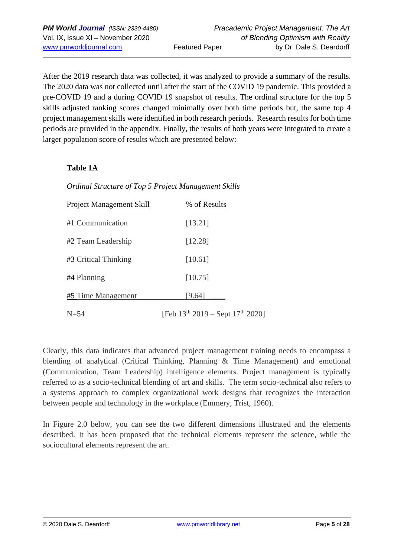After the 2019 research data was collected, it was analyzed to provide a summary of the results. The 2020 data was not collected until after the start of the COVID 19 pandemic. This provided a pre-COVID 19 and a during COVID 19 snapshot of results. The ordinal structure for the top 5 skills adjusted ranking scores changed minimally over both time periods but, the same top 4 project management skills were identified in both research periods. Research results for both time periods are provided in the appendix. Finally, the results of both years were integrated to create a larger population score of results which are presented below:

#### **Table 1A**

## *Ordinal Structure of Top 5 Project Management Skills*

| Project Management Skill | % of Results                               |
|--------------------------|--------------------------------------------|
| #1 Communication         | [13.21]                                    |
| #2 Team Leadership       | [12.28]                                    |
| #3 Critical Thinking     | [10.61]                                    |
| #4 Planning              | [10.75]                                    |
| #5 Time Management       | [9.64]                                     |
| $N=54$                   | [Feb $13^{th}$ 2019 – Sept $17^{th}$ 2020] |

Clearly, this data indicates that advanced project management training needs to encompass a blending of analytical (Critical Thinking, Planning & Time Management) and emotional (Communication, Team Leadership) intelligence elements. Project management is typically referred to as a socio-technical blending of art and skills. The term socio-technical also refers to a systems approach to complex organizational work designs that recognizes the interaction between people and technology in the workplace (Emmery, Trist, 1960).

In Figure 2.0 below, you can see the two different dimensions illustrated and the elements described. It has been proposed that the technical elements represent the science, while the sociocultural elements represent the art.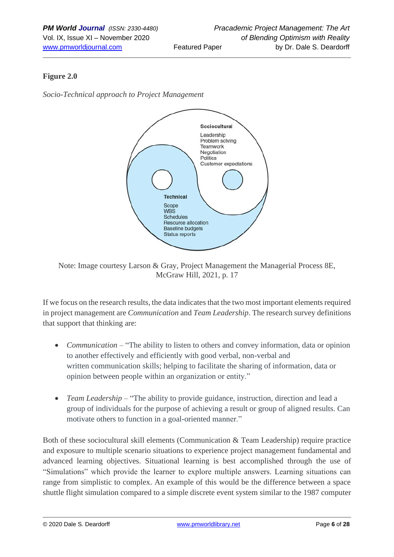## **Figure 2.0**

*Socio-Technical approach to Project Management*



Note: Image courtesy Larson & Gray, Project Management the Managerial Process 8E, McGraw Hill, 2021, p. 17

If we focus on the research results, the data indicates that the two most important elements required in project management are *Communication* and *Team Leadership*. The research survey definitions that support that thinking are:

- *Communication* "The ability to listen to others and convey information, data or opinion to another effectively and efficiently with good verbal, non-verbal and written communication skills; helping to facilitate the sharing of information, data or opinion between people within an organization or entity."
- *Team Leadership* "The ability to provide guidance, instruction, direction and lead a group of individuals for the purpose of achieving a result or group of aligned results. Can motivate others to function in a goal-oriented manner."

Both of these sociocultural skill elements (Communication & Team Leadership) require practice and exposure to multiple scenario situations to experience project management fundamental and advanced learning objectives. Situational learning is best accomplished through the use of "Simulations" which provide the learner to explore multiple answers. Learning situations can range from simplistic to complex. An example of this would be the difference between a space shuttle flight simulation compared to a simple discrete event system similar to the 1987 computer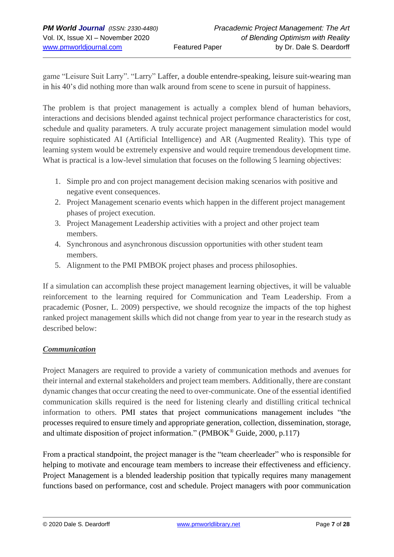game "Leisure Suit Larry". "Larry" Laffer, a double entendre-speaking, leisure suit-wearing man in his 40's did nothing more than walk around from scene to scene in pursuit of happiness.

The problem is that project management is actually a complex blend of human behaviors, interactions and decisions blended against technical project performance characteristics for cost, schedule and quality parameters. A truly accurate project management simulation model would require sophisticated AI (Artificial Intelligence) and AR (Augmented Reality). This type of learning system would be extremely expensive and would require tremendous development time. What is practical is a low-level simulation that focuses on the following 5 learning objectives:

- 1. Simple pro and con project management decision making scenarios with positive and negative event consequences.
- 2. Project Management scenario events which happen in the different project management phases of project execution.
- 3. Project Management Leadership activities with a project and other project team members.
- 4. Synchronous and asynchronous discussion opportunities with other student team members.
- 5. Alignment to the PMI PMBOK project phases and process philosophies.

If a simulation can accomplish these project management learning objectives, it will be valuable reinforcement to the learning required for Communication and Team Leadership. From a pracademic (Posner, L. 2009) perspective, we should recognize the impacts of the top highest ranked project management skills which did not change from year to year in the research study as described below:

## *Communication*

Project Managers are required to provide a variety of communication methods and avenues for their internal and external stakeholders and project team members. Additionally, there are constant dynamic changes that occur creating the need to over-communicate. One of the essential identified communication skills required is the need for listening clearly and distilling critical technical information to others. PMI states that project communications management includes "the processes required to ensure timely and appropriate generation, collection, dissemination, storage, and ultimate disposition of project information." (PMBOK® Guide, 2000, p.117)

From a practical standpoint, the project manager is the "team cheerleader" who is responsible for helping to motivate and encourage team members to increase their effectiveness and efficiency. Project Management is a blended leadership position that typically requires many management functions based on performance, cost and schedule. Project managers with poor communication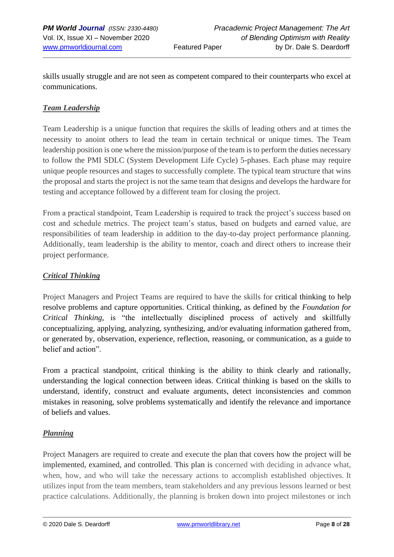skills usually struggle and are not seen as competent compared to their counterparts who excel at communications.

#### *Team Leadership*

Team Leadership is a unique function that requires the skills of leading others and at times the necessity to anoint others to lead the team in certain technical or unique times. The Team leadership position is one where the mission/purpose of the team is to perform the duties necessary to follow the PMI SDLC (System Development Life Cycle) 5-phases. Each phase may require unique people resources and stages to successfully complete. The typical team structure that wins the proposal and starts the project is not the same team that designs and develops the hardware for testing and acceptance followed by a different team for closing the project.

From a practical standpoint, Team Leadership is required to track the project's success based on cost and schedule metrics. The project team's status, based on budgets and earned value, are responsibilities of team leadership in addition to the day-to-day project performance planning. Additionally, team leadership is the ability to mentor, coach and direct others to increase their project performance.

#### *Critical Thinking*

Project Managers and Project Teams are required to have the skills for critical thinking to help resolve problems and capture opportunities. Critical thinking, as defined by the *Foundation for Critical Thinking,* is "the intellectually disciplined process of actively and skillfully conceptualizing, applying, analyzing, synthesizing, and/or evaluating information gathered from, or generated by, observation, experience, reflection, reasoning, or communication, as a guide to belief and action".

From a practical standpoint, critical thinking is the ability to think clearly and rationally, understanding the logical connection between ideas. Critical thinking is based on the skills to understand, identify, construct and evaluate arguments, detect inconsistencies and common mistakes in reasoning, solve problems systematically and identify the relevance and importance of beliefs and values.

#### *Planning*

Project Managers are required to create and execute the plan that covers how the project will be implemented, examined, and controlled. This plan is concerned with deciding in advance what, when, how, and who will take the necessary actions to accomplish established objectives. It utilizes input from the team members, team stakeholders and any previous lessons learned or best practice calculations. Additionally, the planning is broken down into project milestones or inch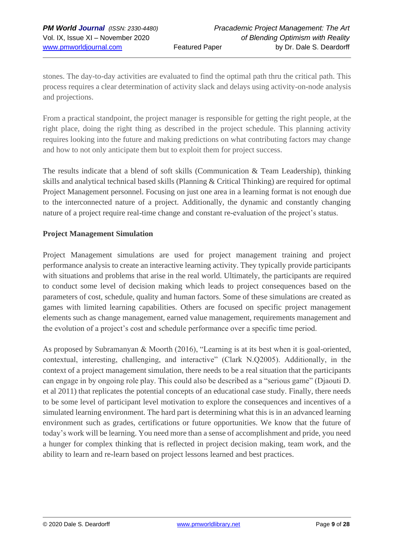stones. The day-to-day activities are evaluated to find the optimal path thru the critical path. This process requires a clear determination of activity slack and delays using activity-on-node analysis and projections.

From a practical standpoint, the project manager is responsible for getting the right people, at the right place, doing the right thing as described in the project schedule. This planning activity requires looking into the future and making predictions on what contributing factors may change and how to not only anticipate them but to exploit them for project success.

The results indicate that a blend of soft skills (Communication & Team Leadership), thinking skills and analytical technical based skills (Planning & Critical Thinking) are required for optimal Project Management personnel. Focusing on just one area in a learning format is not enough due to the interconnected nature of a project. Additionally, the dynamic and constantly changing nature of a project require real-time change and constant re-evaluation of the project's status.

#### **Project Management Simulation**

Project Management simulations are used for project management training and project performance analysis to create an interactive learning activity. They typically provide participants with situations and problems that arise in the real world. Ultimately, the participants are required to conduct some level of decision making which leads to project consequences based on the parameters of cost, schedule, quality and human factors. Some of these simulations are created as games with limited learning capabilities. Others are focused on specific project management elements such as change management, earned value management, requirements management and the evolution of a project's cost and schedule performance over a specific time period.

As proposed by Subramanyan & Moorth (2016), "Learning is at its best when it is goal-oriented, contextual, interesting, challenging, and interactive" (Clark N.Q2005). Additionally, in the context of a project management simulation, there needs to be a real situation that the participants can engage in by ongoing role play. This could also be described as a "serious game" (Djaouti D. et al 2011) that replicates the potential concepts of an educational case study. Finally, there needs to be some level of participant level motivation to explore the consequences and incentives of a simulated learning environment. The hard part is determining what this is in an advanced learning environment such as grades, certifications or future opportunities. We know that the future of today's work will be learning. You need more than a sense of accomplishment and pride, you need a hunger for complex thinking that is reflected in project decision making, team work, and the ability to learn and re-learn based on project lessons learned and best practices.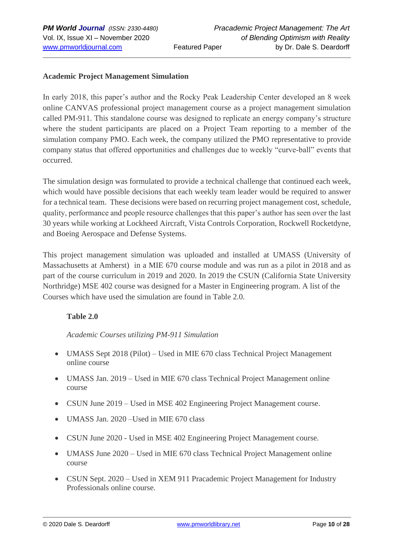#### **Academic Project Management Simulation**

In early 2018, this paper's author and the Rocky Peak Leadership Center developed an 8 week online CANVAS professional project management course as a project management simulation called PM-911. This standalone course was designed to replicate an energy company's structure where the student participants are placed on a Project Team reporting to a member of the simulation company PMO. Each week, the company utilized the PMO representative to provide company status that offered opportunities and challenges due to weekly "curve-ball" events that occurred.

The simulation design was formulated to provide a technical challenge that continued each week, which would have possible decisions that each weekly team leader would be required to answer for a technical team. These decisions were based on recurring project management cost, schedule, quality, performance and people resource challenges that this paper's author has seen over the last 30 years while working at Lockheed Aircraft, Vista Controls Corporation, Rockwell Rocketdyne, and Boeing Aerospace and Defense Systems.

This project management simulation was uploaded and installed at UMASS (University of Massachusetts at Amherst) in a MIE 670 course module and was run as a pilot in 2018 and as part of the course curriculum in 2019 and 2020. In 2019 the CSUN (California State University Northridge) MSE 402 course was designed for a Master in Engineering program. A list of the Courses which have used the simulation are found in Table 2.0.

## **Table 2.0**

*Academic Courses utilizing PM-911 Simulation* 

- UMASS Sept 2018 (Pilot) Used in MIE 670 class Technical Project Management online course
- UMASS Jan. 2019 Used in MIE 670 class Technical Project Management online course
- CSUN June 2019 Used in MSE 402 Engineering Project Management course.
- UMASS Jan. 2020 Used in MIE 670 class
- CSUN June 2020 Used in MSE 402 Engineering Project Management course.
- UMASS June 2020 Used in MIE 670 class Technical Project Management online course
- CSUN Sept. 2020 Used in XEM 911 Pracademic Project Management for Industry Professionals online course.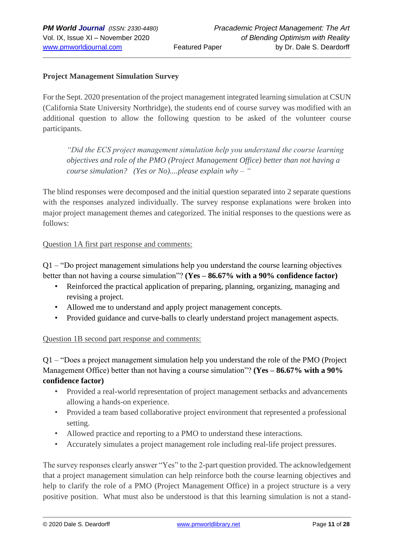#### **Project Management Simulation Survey**

For the Sept. 2020 presentation of the project management integrated learning simulation at CSUN (California State University Northridge), the students end of course survey was modified with an additional question to allow the following question to be asked of the volunteer course participants.

*"Did the ECS project management simulation help you understand the course learning objectives and role of the PMO (Project Management Office) better than not having a course simulation? (Yes or No)....please explain why – "*

The blind responses were decomposed and the initial question separated into 2 separate questions with the responses analyzed individually. The survey response explanations were broken into major project management themes and categorized. The initial responses to the questions were as follows:

#### Question 1A first part response and comments:

Q1 – "Do project management simulations help you understand the course learning objectives better than not having a course simulation"? **(Yes – 86.67% with a 90% confidence factor)**

- Reinforced the practical application of preparing, planning, organizing, managing and revising a project.
- Allowed me to understand and apply project management concepts.
- Provided guidance and curve-balls to clearly understand project management aspects.

#### Question 1B second part response and comments:

Q1 – "Does a project management simulation help you understand the role of the PMO (Project Management Office) better than not having a course simulation"? **(Yes – 86.67% with a 90% confidence factor)**

- Provided a real-world representation of project management setbacks and advancements allowing a hands-on experience.
- Provided a team based collaborative project environment that represented a professional setting.
- Allowed practice and reporting to a PMO to understand these interactions.
- Accurately simulates a project management role including real-life project pressures.

The survey responses clearly answer "Yes" to the 2-part question provided. The acknowledgement that a project management simulation can help reinforce both the course learning objectives and help to clarify the role of a PMO (Project Management Office) in a project structure is a very positive position. What must also be understood is that this learning simulation is not a stand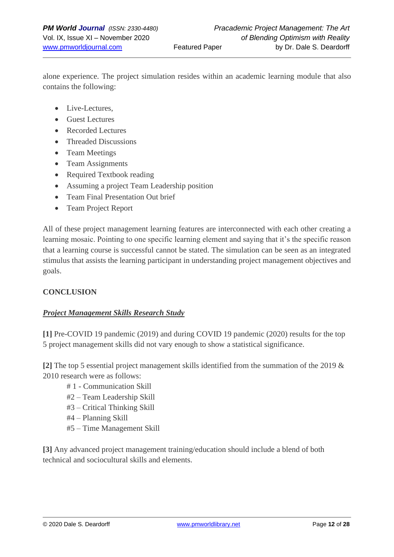alone experience. The project simulation resides within an academic learning module that also contains the following:

- Live-Lectures,
- Guest Lectures
- Recorded Lectures
- Threaded Discussions
- Team Meetings
- Team Assignments
- Required Textbook reading
- Assuming a project Team Leadership position
- Team Final Presentation Out brief
- Team Project Report

All of these project management learning features are interconnected with each other creating a learning mosaic. Pointing to one specific learning element and saying that it's the specific reason that a learning course is successful cannot be stated. The simulation can be seen as an integrated stimulus that assists the learning participant in understanding project management objectives and goals.

#### **CONCLUSION**

#### *Project Management Skills Research Study*

**[1]** Pre-COVID 19 pandemic (2019) and during COVID 19 pandemic (2020) results for the top 5 project management skills did not vary enough to show a statistical significance.

**[2]** The top 5 essential project management skills identified from the summation of the 2019 & 2010 research were as follows:

- # 1 Communication Skill
- #2 Team Leadership Skill
- #3 Critical Thinking Skill
- #4 Planning Skill
- #5 Time Management Skill

**[3]** Any advanced project management training/education should include a blend of both technical and sociocultural skills and elements.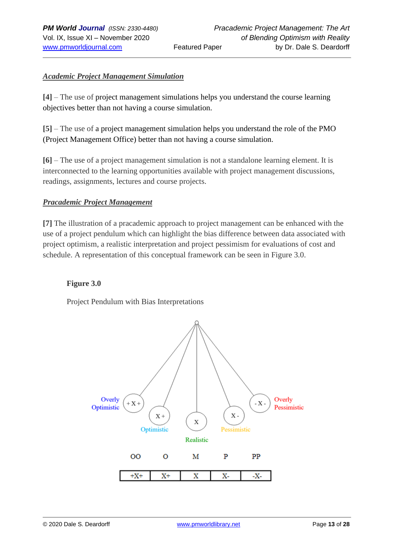#### *Academic Project Management Simulation*

**[4]** – The use of project management simulations helps you understand the course learning objectives better than not having a course simulation.

**[5]** – The use of a project management simulation helps you understand the role of the PMO (Project Management Office) better than not having a course simulation.

**[6]** – The use of a project management simulation is not a standalone learning element. It is interconnected to the learning opportunities available with project management discussions, readings, assignments, lectures and course projects.

#### *Pracademic Project Management*

**[7]** The illustration of a pracademic approach to project management can be enhanced with the use of a project pendulum which can highlight the bias difference between data associated with project optimism, a realistic interpretation and project pessimism for evaluations of cost and schedule. A representation of this conceptual framework can be seen in Figure 3.0.

#### **Figure 3.0**

Project Pendulum with Bias Interpretations

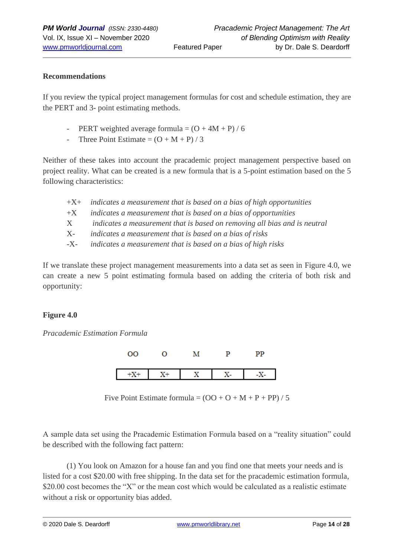#### **Recommendations**

If you review the typical project management formulas for cost and schedule estimation, they are the PERT and 3- point estimating methods.

- PERT weighted average formula =  $(O + 4M + P) / 6$
- Three Point Estimate  $= (O + M + P)/3$

Neither of these takes into account the pracademic project management perspective based on project reality. What can be created is a new formula that is a 5-point estimation based on the 5 following characteristics:

|         | $+X$ + indicates a measurement that is based on a bias of high opportunities |
|---------|------------------------------------------------------------------------------|
| $+X$    | indicates a measurement that is based on a bias of opportunities             |
| $X_{-}$ | indicates a measurement that is based on removing all bias and is neutral    |
| X-      | indicates a measurement that is based on a bias of risks                     |
| -X-     | indicates a measurement that is based on a bias of high risks                |

If we translate these project management measurements into a data set as seen in Figure 4.0, we can create a new 5 point estimating formula based on adding the criteria of both risk and opportunity:

#### **Figure 4.0**

*Pracademic Estimation Formula*



Five Point Estimate formula =  $(OO + O + M + P + PP) / 5$ 

A sample data set using the Pracademic Estimation Formula based on a "reality situation" could be described with the following fact pattern:

(1) You look on Amazon for a house fan and you find one that meets your needs and is listed for a cost \$20.00 with free shipping. In the data set for the pracademic estimation formula, \$20.00 cost becomes the "X" or the mean cost which would be calculated as a realistic estimate without a risk or opportunity bias added.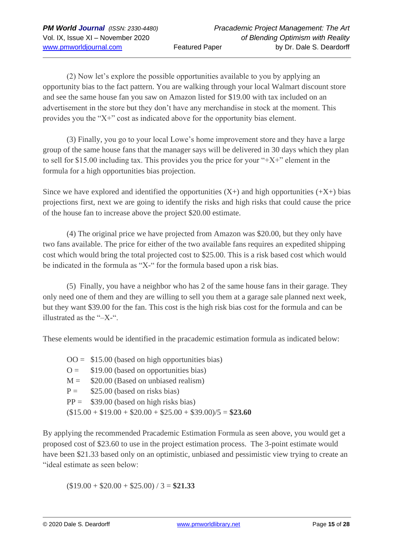(2) Now let's explore the possible opportunities available to you by applying an opportunity bias to the fact pattern. You are walking through your local Walmart discount store and see the same house fan you saw on Amazon listed for \$19.00 with tax included on an advertisement in the store but they don't have any merchandise in stock at the moment. This provides you the "X+" cost as indicated above for the opportunity bias element.

(3) Finally, you go to your local Lowe's home improvement store and they have a large group of the same house fans that the manager says will be delivered in 30 days which they plan to sell for \$15.00 including tax. This provides you the price for your " $+X+$ " element in the formula for a high opportunities bias projection.

Since we have explored and identified the opportunities  $(X+)$  and high opportunities  $(X+)$  bias projections first, next we are going to identify the risks and high risks that could cause the price of the house fan to increase above the project \$20.00 estimate.

(4) The original price we have projected from Amazon was \$20.00, but they only have two fans available. The price for either of the two available fans requires an expedited shipping cost which would bring the total projected cost to \$25.00. This is a risk based cost which would be indicated in the formula as "X-" for the formula based upon a risk bias.

(5) Finally, you have a neighbor who has 2 of the same house fans in their garage. They only need one of them and they are willing to sell you them at a garage sale planned next week, but they want \$39.00 for the fan. This cost is the high risk bias cost for the formula and can be illustrated as the "–X-".

These elements would be identified in the pracademic estimation formula as indicated below:

 $OO = $15.00$  (based on high opportunities bias)  $Q =$  \$19.00 (based on opportunities bias)  $M =$  \$20.00 (Based on unbiased realism)  $P =$  \$25.00 (based on risks bias)  $PP =$  \$39.00 (based on high risks bias)  $($15.00 + $19.00 + $20.00 + $25.00 + $39.00)/5 = $23.60$ 

By applying the recommended Pracademic Estimation Formula as seen above, you would get a proposed cost of \$23.60 to use in the project estimation process. The 3-point estimate would have been \$21.33 based only on an optimistic, unbiased and pessimistic view trying to create an "ideal estimate as seen below:

 $($19.00 + $20.00 + $25.00) / 3 = $21.33$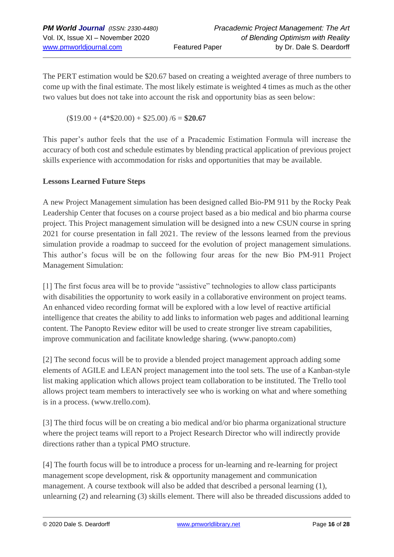The PERT estimation would be \$20.67 based on creating a weighted average of three numbers to come up with the final estimate. The most likely estimate is weighted 4 times as much as the other two values but does not take into account the risk and opportunity bias as seen below:

 $($19.00 + (4*$20.00) + $25.00) / 6 = $20.67$ 

This paper's author feels that the use of a Pracademic Estimation Formula will increase the accuracy of both cost and schedule estimates by blending practical application of previous project skills experience with accommodation for risks and opportunities that may be available.

## **Lessons Learned Future Steps**

A new Project Management simulation has been designed called Bio-PM 911 by the Rocky Peak Leadership Center that focuses on a course project based as a bio medical and bio pharma course project. This Project management simulation will be designed into a new CSUN course in spring 2021 for course presentation in fall 2021. The review of the lessons learned from the previous simulation provide a roadmap to succeed for the evolution of project management simulations. This author's focus will be on the following four areas for the new Bio PM-911 Project Management Simulation:

[1] The first focus area will be to provide "assistive" technologies to allow class participants with disabilities the opportunity to work easily in a collaborative environment on project teams. An enhanced video recording format will be explored with a low level of reactive artificial intelligence that creates the ability to add links to information web pages and additional learning content. The Panopto Review editor will be used to create stronger live stream capabilities, improve communication and facilitate knowledge sharing. (www.panopto.com)

[2] The second focus will be to provide a blended project management approach adding some elements of AGILE and LEAN project management into the tool sets. The use of a Kanban-style list making application which allows project team collaboration to be instituted. The Trello tool allows project team members to interactively see who is working on what and where something is in a process. (www.trello.com).

[3] The third focus will be on creating a bio medical and/or bio pharma organizational structure where the project teams will report to a Project Research Director who will indirectly provide directions rather than a typical PMO structure.

[4] The fourth focus will be to introduce a process for un-learning and re-learning for project management scope development, risk & opportunity management and communication management. A course textbook will also be added that described a personal learning (1), unlearning (2) and relearning (3) skills element. There will also be threaded discussions added to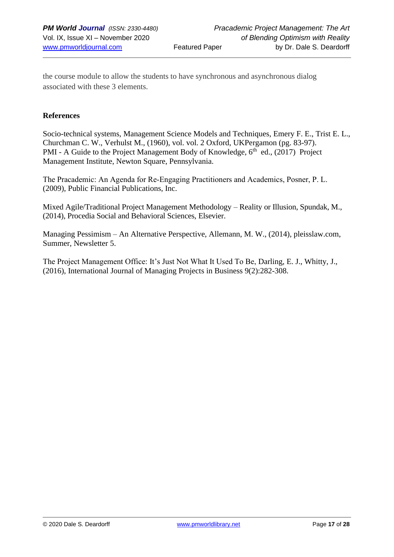the course module to allow the students to have synchronous and asynchronous dialog associated with these 3 elements.

#### **References**

Socio-technical systems, Management Science Models and Techniques, Emery F. E., Trist E. L., Churchman C. W., Verhulst M., (1960), vol. vol. 2 Oxford, UKPergamon (pg. 83-97). PMI - A Guide to the Project Management Body of Knowledge, 6<sup>th</sup> ed., (2017) Project Management Institute, Newton Square, Pennsylvania.

The Pracademic: An Agenda for Re‐Engaging Practitioners and Academics, Posner, P. L. (2009), Public Financial Publications, Inc.

Mixed Agile/Traditional Project Management Methodology – Reality or Illusion, Spundak, M., (2014), Procedia Social and Behavioral Sciences, Elsevier.

Managing Pessimism – An Alternative Perspective, Allemann, M. W., (2014), pleisslaw.com, Summer, Newsletter 5.

The Project Management Office: It's Just Not What It Used To Be, Darling, E. J., Whitty, J., (2016), International Journal of Managing Projects in Business 9(2):282-308.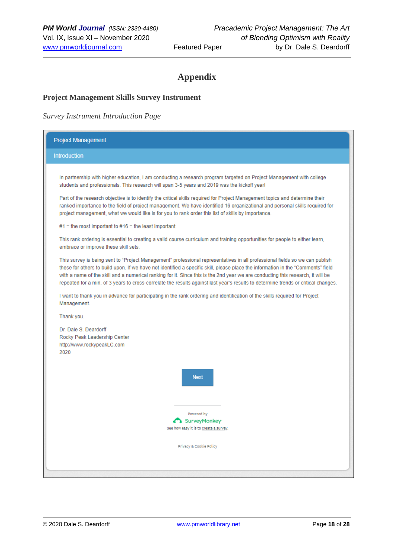# **Appendix**

#### **Project Management Skills Survey Instrument**

#### *Survey Instrument Introduction Page*

| <b>Project Management</b>                                                                                                                                                                                                                                                                                                                                                                                                                                                                                                                |  |  |
|------------------------------------------------------------------------------------------------------------------------------------------------------------------------------------------------------------------------------------------------------------------------------------------------------------------------------------------------------------------------------------------------------------------------------------------------------------------------------------------------------------------------------------------|--|--|
| <b>Introduction</b>                                                                                                                                                                                                                                                                                                                                                                                                                                                                                                                      |  |  |
| In partnership with higher education, I am conducting a research program targeted on Project Management with college<br>students and professionals. This research will span 3-5 years and 2019 was the kickoff year!                                                                                                                                                                                                                                                                                                                     |  |  |
| Part of the research objective is to identify the critical skills required for Project Management topics and determine their<br>ranked importance to the field of project management. We have identified 16 organizational and personal skills required for<br>project management, what we would like is for you to rank order this list of skills by importance.                                                                                                                                                                        |  |  |
| $#1$ = the most important to $#16$ = the least important.                                                                                                                                                                                                                                                                                                                                                                                                                                                                                |  |  |
| This rank ordering is essential to creating a valid course curriculum and training opportunities for people to either learn,<br>embrace or improve these skill sets.                                                                                                                                                                                                                                                                                                                                                                     |  |  |
| This survey is being sent to "Project Management" professional representatives in all professional fields so we can publish<br>these for others to build upon. If we have not identified a specific skill, please place the information in the "Comments" field<br>with a name of the skill and a numerical ranking for it. Since this is the 2nd year we are conducting this research, it will be<br>repeated for a min. of 3 years to cross-correlate the results against last year's results to determine trends or critical changes. |  |  |
| I want to thank you in advance for participating in the rank ordering and identification of the skills required for Project<br>Management.                                                                                                                                                                                                                                                                                                                                                                                               |  |  |
| Thank you.                                                                                                                                                                                                                                                                                                                                                                                                                                                                                                                               |  |  |
| Dr. Dale S. Deardorff<br>Rocky Peak Leadership Center<br>http://www.rockypeakLC.com<br>2020                                                                                                                                                                                                                                                                                                                                                                                                                                              |  |  |
| <b>Next</b>                                                                                                                                                                                                                                                                                                                                                                                                                                                                                                                              |  |  |
|                                                                                                                                                                                                                                                                                                                                                                                                                                                                                                                                          |  |  |
| Powered by<br>SurveyMonkey <sup>®</sup>                                                                                                                                                                                                                                                                                                                                                                                                                                                                                                  |  |  |
| See how easy it is to <u>create a survey</u>                                                                                                                                                                                                                                                                                                                                                                                                                                                                                             |  |  |
| Privacy & Cookie Policy                                                                                                                                                                                                                                                                                                                                                                                                                                                                                                                  |  |  |
|                                                                                                                                                                                                                                                                                                                                                                                                                                                                                                                                          |  |  |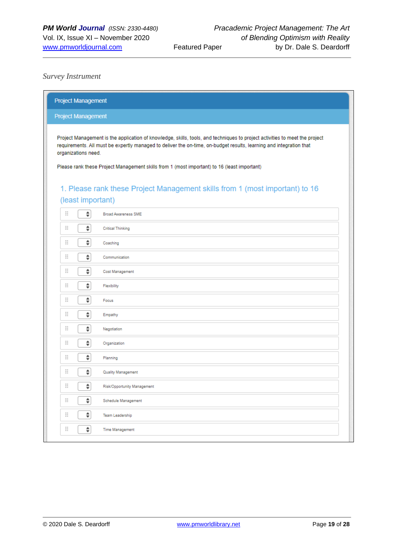#### *Survey Instrument*

| <b>Project Management</b>                                                                                                                                                                                                                                                                                                                                                |  |  |
|--------------------------------------------------------------------------------------------------------------------------------------------------------------------------------------------------------------------------------------------------------------------------------------------------------------------------------------------------------------------------|--|--|
| <b>Project Management</b>                                                                                                                                                                                                                                                                                                                                                |  |  |
| Project Management is the application of knowledge, skills, tools, and techniques to project activities to meet the project<br>requirements. All must be expertly managed to deliver the on-time, on-budget results, learning and integration that<br>organizations need.<br>Please rank these Project Management skills from 1 (most important) to 16 (least important) |  |  |
| 1. Please rank these Project Management skills from 1 (most important) to 16                                                                                                                                                                                                                                                                                             |  |  |
| (least important)                                                                                                                                                                                                                                                                                                                                                        |  |  |
| Ξ<br>÷<br><b>Broad Awareness SME</b>                                                                                                                                                                                                                                                                                                                                     |  |  |
| ÷<br>Ξ<br><b>Critical Thinking</b>                                                                                                                                                                                                                                                                                                                                       |  |  |
| ÷<br>Ξ<br>Coaching                                                                                                                                                                                                                                                                                                                                                       |  |  |
| Ξ<br>÷<br>Communication                                                                                                                                                                                                                                                                                                                                                  |  |  |
| ÷<br>Ξ<br>Cost Management                                                                                                                                                                                                                                                                                                                                                |  |  |
| ÷<br>Ξ<br>Flexibility                                                                                                                                                                                                                                                                                                                                                    |  |  |
| ÷<br>Ξ<br>Focus                                                                                                                                                                                                                                                                                                                                                          |  |  |
| ÷<br>Ξ<br>Empathy                                                                                                                                                                                                                                                                                                                                                        |  |  |
| ÷<br>Ξ<br>Negotiation                                                                                                                                                                                                                                                                                                                                                    |  |  |
| ÷<br>H<br>Organization                                                                                                                                                                                                                                                                                                                                                   |  |  |
| ÷<br>Ξ<br>Planning                                                                                                                                                                                                                                                                                                                                                       |  |  |
| ÷<br>Ξ<br>Quality Management                                                                                                                                                                                                                                                                                                                                             |  |  |
| Ξ<br>÷<br>Risk/Opportunity Management                                                                                                                                                                                                                                                                                                                                    |  |  |
| ÷.<br>Ξ<br>Schedule Management                                                                                                                                                                                                                                                                                                                                           |  |  |
| ÷<br>Ξ<br>Team Leadership                                                                                                                                                                                                                                                                                                                                                |  |  |
| Ξ<br>÷<br><b>Time Management</b>                                                                                                                                                                                                                                                                                                                                         |  |  |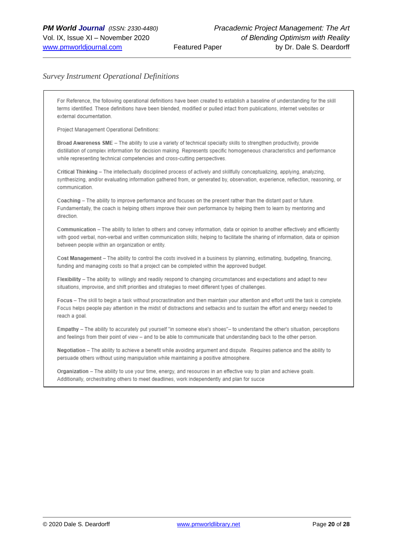#### *Survey Instrument Operational Definitions*

For Reference, the following operational definitions have been created to establish a baseline of understanding for the skill terms identified. These definitions have been blended, modified or pulled intact from publications, internet websites or external documentation

Project Management Operational Definitions:

Broad Awareness SME - The ability to use a variety of technical specialty skills to strengthen productivity, provide distillation of complex information for decision making. Represents specific homogeneous characteristics and performance while representing technical competencies and cross-cutting perspectives.

Critical Thinking - The intellectually disciplined process of actively and skillfully conceptualizing, applying, analyzing, synthesizing, and/or evaluating information gathered from, or generated by, observation, experience, reflection, reasoning, or communication

Coaching - The ability to improve performance and focuses on the present rather than the distant past or future. Fundamentally, the coach is helping others improve their own performance by helping them to learn by mentoring and direction.

Communication - The ability to listen to others and convey information, data or opinion to another effectively and efficiently with good verbal, non-verbal and written communication skills; helping to facilitate the sharing of information, data or opinion between people within an organization or entity.

Cost Management - The ability to control the costs involved in a business by planning, estimating, budgeting, financing, funding and managing costs so that a project can be completed within the approved budget.

Flexibility - The ability to willingly and readily respond to changing circumstances and expectations and adapt to new situations, improvise, and shift priorities and strategies to meet different types of challenges.

Focus - The skill to begin a task without procrastination and then maintain your attention and effort until the task is complete. Focus helps people pay attention in the midst of distractions and setbacks and to sustain the effort and energy needed to reach a goal.

Empathy - The ability to accurately put yourself "in someone else's shoes"- to understand the other's situation, perceptions and feelings from their point of view - and to be able to communicate that understanding back to the other person.

Negotiation - The ability to achieve a benefit while avoiding argument and dispute. Requires patience and the ability to persuade others without using manipulation while maintaining a positive atmosphere.

Organization - The ability to use your time, energy, and resources in an effective way to plan and achieve goals. Additionally, orchestrating others to meet deadlines, work independently and plan for succe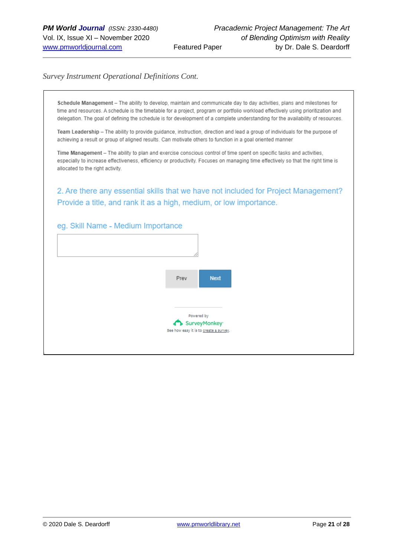#### *Survey Instrument Operational Definitions Cont.*

Schedule Management - The ability to develop, maintain and communicate day to day activities, plans and milestones for time and resources. A schedule is the timetable for a project, program or portfolio workload effectively using prioritization and delegation. The goal of defining the schedule is for development of a complete understanding for the availability of resources.

Team Leadership - The ability to provide guidance, instruction, direction and lead a group of individuals for the purpose of achieving a result or group of aligned results. Can motivate others to function in a goal oriented manner

Time Management - The ability to plan and exercise conscious control of time spent on specific tasks and activities, especially to increase effectiveness, efficiency or productivity. Focuses on managing time effectively so that the right time is allocated to the right activity.

2. Are there any essential skills that we have not included for Project Management? Provide a title, and rank it as a high, medium, or low importance.

#### eg. Skill Name - Medium Importance

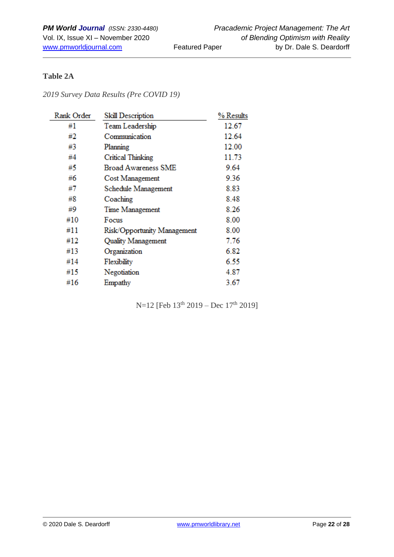# **Table 2A**

*2019 Survey Data Results (Pre COVID 19)*

| Rank Order | Skill Description           | % Results |
|------------|-----------------------------|-----------|
| #1         | Team Leadership             | 12.67     |
| #2         | Communication               | 12.64     |
| #3         | Planning                    | 12.00     |
| #4         | Critical Thinking           | 11.73     |
| #5         | <b>Broad Awareness SME</b>  | 9.64      |
| #6         | Cost Management             | 9.36      |
| #7         | Schedule Management         | 8.83      |
| #8         | Coaching                    | 8.48      |
| #9         | Time Management             | 8.26      |
| #10        | Focus                       | 8.00      |
| #11        | Risk/Opportunity Management | 8.00      |
| #12        | <b>Quality Management</b>   | 7.76      |
| #13        | Organization                | 6.82      |
| #14        | Flexibility                 | 6.55      |
| #15        | Negotiation                 | 4.87      |
| #16        | Empathy                     | 3.67      |

N=12 [Feb 13<sup>th</sup> 2019 – Dec 17<sup>th</sup> 2019]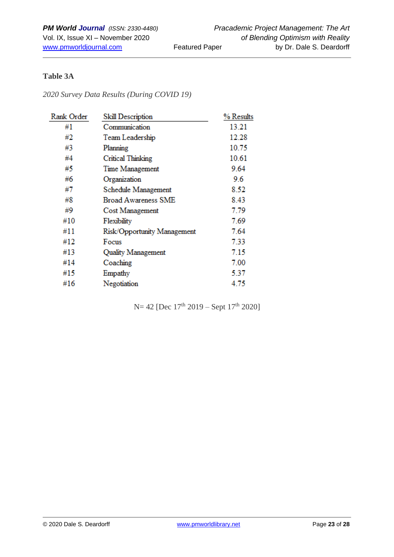# **Table 3A**

*2020 Survey Data Results (During COVID 19)*

| Rank Order | Skill Description           | % Results |
|------------|-----------------------------|-----------|
| #1         | Communication               | 13.21     |
| #2         | Team Leadership             | 12.28     |
| #3         | Planning                    | 10.75     |
| #4         | <b>Critical Thinking</b>    | 10.61     |
| #5         | Time Management             | 9.64      |
| #6         | Organization                | 9.6       |
| #7         | Schedule Management         | 8.52      |
| #8         | Broad Awareness SME         | 8.43      |
| #9         | Cost Management             | 7.79      |
| #10        | Flexibility                 | 7.69      |
| #11        | Risk/Opportunity Management | 7.64      |
| #12        | Focus                       | 7.33      |
| #13        | <b>Quality Management</b>   | 7.15      |
| #14        | Coaching                    | 7.00      |
| #15        | Empathy                     | 5.37      |
| #16        | Negotiation                 | 4.75      |

N= 42 [Dec 17<sup>th</sup> 2019 – Sept 17<sup>th</sup> 2020]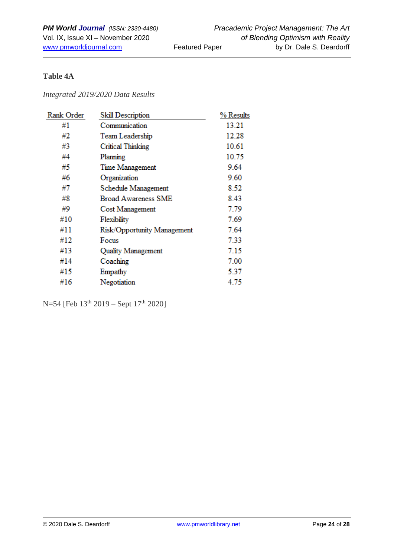# **Table 4A**

#### *Integrated 2019/2020 Data Results*

| Rank Order | Skill Description           | % Results |
|------------|-----------------------------|-----------|
| #1         | Communication               | 13.21     |
| #2         | Team Leadership             | 12.28     |
| #3         | <b>Critical Thinking</b>    | 10.61     |
| #4         | Planning                    | 10.75     |
| #5         | Time Management             | 9.64      |
| #6         | Organization                | 9.60      |
| #7         | Schedule Management         | 8.52      |
| #8         | <b>Broad Awareness SME</b>  | 8.43      |
| #9         | Cost Management             | 7.79      |
| #10        | Flexibility                 | 7.69      |
| #11        | Risk/Opportunity Management | 7.64      |
| #12        | Focus                       | 7.33      |
| #13        | Quality Management          | 7.15      |
| #14        | Coaching                    | 7.00      |
| #15        | Empathy                     | 5.37      |
| #16        | Negotiation                 | 4.75      |

N=54 [Feb 13<sup>th</sup> 2019 – Sept 17<sup>th</sup> 2020]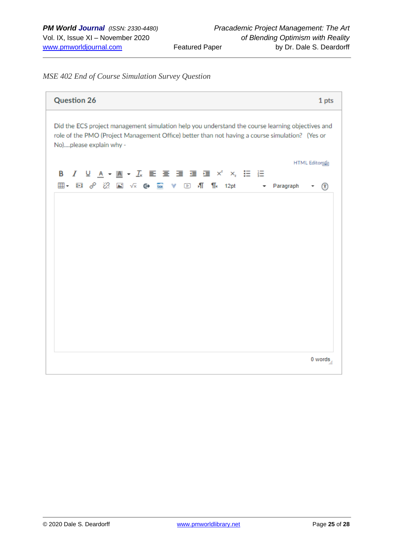## *MSE 402 End of Course Simulation Survey Question*

| <b>Question 26</b>                                                                                                                                                                                                             | 1 pts          |
|--------------------------------------------------------------------------------------------------------------------------------------------------------------------------------------------------------------------------------|----------------|
| Did the ECS project management simulation help you understand the course learning objectives and<br>role of the PMO (Project Management Office) better than not having a course simulation? (Yes or<br>No)please explain why - |                |
|                                                                                                                                                                                                                                | HTML Editorian |
| 囲 • 図 ♂ ※ 図 √× ← 區 ▼ 回 机 ¶ + 12pt → Paragraph                                                                                                                                                                                  | ⋒              |
|                                                                                                                                                                                                                                |                |
|                                                                                                                                                                                                                                |                |
|                                                                                                                                                                                                                                |                |
|                                                                                                                                                                                                                                |                |
|                                                                                                                                                                                                                                |                |
|                                                                                                                                                                                                                                | 0 words        |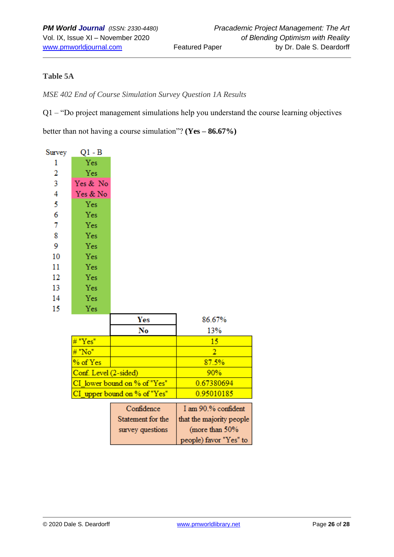# **Table 5A**

*MSE 402 End of Course Simulation Survey Question 1A Results*

Q1 – "Do project management simulations help you understand the course learning objectives

better than not having a course simulation"? **(Yes – 86.67%)**

| Survey | Q1 - B                |                              |                          |
|--------|-----------------------|------------------------------|--------------------------|
| 1      | Yes                   |                              |                          |
| 2      | Yes                   |                              |                          |
| 3      | Yes & No              |                              |                          |
| 4      | Yes & No              |                              |                          |
| 5      | Yes                   |                              |                          |
| 6      | Yes                   |                              |                          |
| 7      | Yes                   |                              |                          |
| 8      | Yes                   |                              |                          |
| 9      | Yes                   |                              |                          |
| 10     | Yes                   |                              |                          |
| 11     | Yes                   |                              |                          |
| 12     | Yes                   |                              |                          |
| 13     | Yes                   |                              |                          |
| 14     | Yes                   |                              |                          |
| 15     | Yes                   |                              |                          |
|        |                       | Yes                          | 86.67%                   |
|        |                       | No                           | 13%                      |
|        | "Yes"                 |                              | 15                       |
|        | "No"                  |                              | $\overline{2}$           |
|        | % of Yes              |                              | 87.5%                    |
|        | Conf. Level (2-sided) |                              | 90%                      |
|        |                       | CI lower bound on % of "Yes" | 0.67380694               |
|        |                       | CI upper bound on % of "Yes" | 0.95010185               |
|        |                       | Confidence                   | I am 90.% confident      |
|        |                       | Statement for the            | that the majority people |
|        |                       | survey questions             | (more than 50%           |
|        |                       |                              | people) favor "Yes" to   |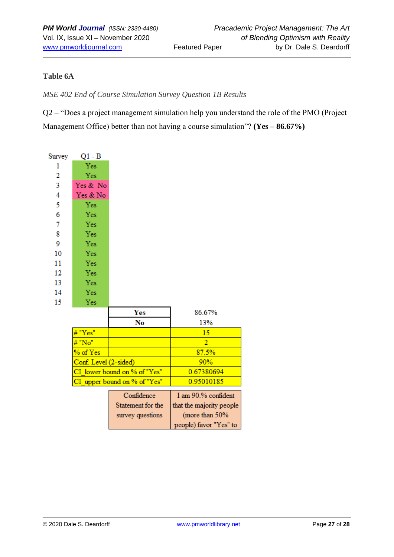# **Table 6A**

*MSE 402 End of Course Simulation Survey Question 1B Results*

Q2 – "Does a project management simulation help you understand the role of the PMO (Project Management Office) better than not having a course simulation"? **(Yes – 86.67%)**

| Survey | $Q1 - B$              |                              |                          |
|--------|-----------------------|------------------------------|--------------------------|
| 1      | Yes                   |                              |                          |
| 2      | Yes                   |                              |                          |
| 3      | Yes & No              |                              |                          |
| 4      | Yes & No              |                              |                          |
| 5      | Yes                   |                              |                          |
| 6      | Yes                   |                              |                          |
| 7      | Yes                   |                              |                          |
| 8      | Yes                   |                              |                          |
| 9      | Yes                   |                              |                          |
| 10     | Yes                   |                              |                          |
| 11     | Yes                   |                              |                          |
| 12     | Yes                   |                              |                          |
| 13     | Yes                   |                              |                          |
| 14     | Yes                   |                              |                          |
| 15     | Yes                   |                              |                          |
|        |                       | Yes                          | 86.67%                   |
|        |                       | No                           | 13%                      |
|        | "Yes"                 |                              | 15                       |
|        | "No"                  |                              | $\overline{2}$           |
|        | % of Yes              |                              | 87.5%                    |
|        | Conf. Level (2-sided) |                              | 90%                      |
|        |                       | CI lower bound on % of "Yes" | 0.67380694               |
|        |                       | CI_upper bound on % of "Yes" | 0.95010185               |
|        |                       | Confidence                   | I am 90.% confident      |
|        |                       | Statement for the            | that the majority people |
|        |                       | survey questions             | (more than 50%           |
|        |                       |                              |                          |